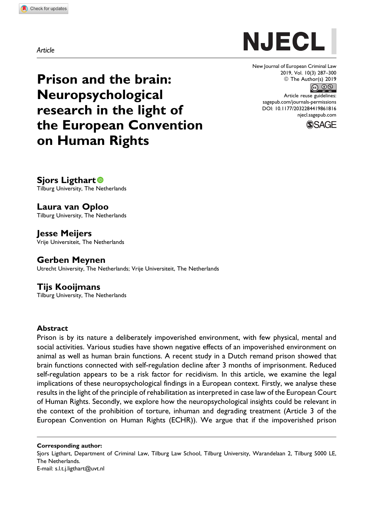

New Journal of European Criminal Law 2019, Vol. 10(3) 287–300 © The Author(s) 2019  $\circledcirc$ 

Article reuse guidelines: [sagepub.com/journals-permissions](https://sagepub.com/journals-permissions) [DOI: 10.1177/2032284419861816](https://doi.org/10.1177/2032284419861816)





Prison and the brain: Neuropsychological research in the light of the European Convention on Human Rights

Sjors Ligthart **D** Tilburg University, The Netherlands

Laura van Oploo

Tilburg University, The Netherlands

Jesse Meijers Vrije Universiteit, The Netherlands

Gerben Meynen

Utrecht University, The Netherlands; Vrije Universiteit, The Netherlands

Tijs Kooijmans Tilburg University, The Netherlands

### Abstract

Prison is by its nature a deliberately impoverished environment, with few physical, mental and social activities. Various studies have shown negative effects of an impoverished environment on animal as well as human brain functions. A recent study in a Dutch remand prison showed that brain functions connected with self-regulation decline after 3 months of imprisonment. Reduced self-regulation appears to be a risk factor for recidivism. In this article, we examine the legal implications of these neuropsychological findings in a European context. Firstly, we analyse these results in the light of the principle of rehabilitation as interpreted in case law of the European Court of Human Rights. Secondly, we explore how the neuropsychological insights could be relevant in the context of the prohibition of torture, inhuman and degrading treatment (Article 3 of the European Convention on Human Rights (ECHR)). We argue that if the impoverished prison

Corresponding author: Sjors Ligthart, Department of Criminal Law, Tilburg Law School, Tilburg University, Warandelaan 2, Tilburg 5000 LE, The Netherlands. E-mail: [s.l.t.j.ligthart@uvt.nl](mailto:s.l.t.j.ligthart@uvt.nl)

Article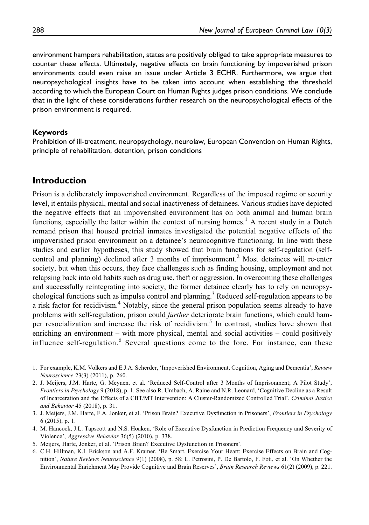environment hampers rehabilitation, states are positively obliged to take appropriate measures to counter these effects. Ultimately, negative effects on brain functioning by impoverished prison environments could even raise an issue under Article 3 ECHR. Furthermore, we argue that neuropsychological insights have to be taken into account when establishing the threshold according to which the European Court on Human Rights judges prison conditions. We conclude that in the light of these considerations further research on the neuropsychological effects of the prison environment is required.

### Keywords

Prohibition of ill-treatment, neuropsychology, neurolaw, European Convention on Human Rights, principle of rehabilitation, detention, prison conditions

## Introduction

Prison is a deliberately impoverished environment. Regardless of the imposed regime or security level, it entails physical, mental and social inactiveness of detainees. Various studies have depicted the negative effects that an impoverished environment has on both animal and human brain functions, especially the latter within the context of nursing homes.<sup>1</sup> A recent study in a Dutch remand prison that housed pretrial inmates investigated the potential negative effects of the impoverished prison environment on a detainee's neurocognitive functioning. In line with these studies and earlier hypotheses, this study showed that brain functions for self-regulation (selfcontrol and planning) declined after 3 months of imprisonment.<sup>2</sup> Most detainees will re-enter society, but when this occurs, they face challenges such as finding housing, employment and not relapsing back into old habits such as drug use, theft or aggression. In overcoming these challenges and successfully reintegrating into society, the former detainee clearly has to rely on neuropsychological functions such as impulse control and planning.<sup>3</sup> Reduced self-regulation appears to be a risk factor for recidivism.<sup>4</sup> Notably, since the general prison population seems already to have problems with self-regulation, prison could *further* deteriorate brain functions, which could hamper resocialization and increase the risk of recidivism.<sup>5</sup> In contrast, studies have shown that enriching an environment – with more physical, mental and social activities – could positively influence self-regulation.<sup>6</sup> Several questions come to the fore. For instance, can these

5. Meijers, Harte, Jonker, et al. 'Prison Brain? Executive Dysfunction in Prisoners'.

<sup>1.</sup> For example, K.M. Volkers and E.J.A. Scherder, 'Impoverished Environment, Cognition, Aging and Dementia', Review Neuroscience 23(3) (2011), p. 260.

<sup>2.</sup> J. Meijers, J.M. Harte, G. Meynen, et al. 'Reduced Self-Control after 3 Months of Imprisonment; A Pilot Study', Frontiers in Psychology 9 (2018), p. 1. See also R. Umbach, A. Raine and N.R. Leonard, 'Cognitive Decline as a Result of Incarceration and the Effects of a CBT/MT Intervention: A Cluster-Randomized Controlled Trial', Criminal Justice and Behavior 45 (2018), p. 31.

<sup>3.</sup> J. Meijers, J.M. Harte, F.A. Jonker, et al. 'Prison Brain? Executive Dysfunction in Prisoners', Frontiers in Psychology 6 (2015), p. 1.

<sup>4.</sup> M. Hancock, J.L. Tapscott and N.S. Hoaken, 'Role of Executive Dysfunction in Prediction Frequency and Severity of Violence', Aggressive Behavior 36(5) (2010), p. 338.

<sup>6.</sup> C.H. Hillman, K.I. Erickson and A.F. Kramer, 'Be Smart, Exercise Your Heart: Exercise Effects on Brain and Cognition', Nature Reviews Neuroscience 9(1) (2008), p. 58; L. Petrosini, P. De Bartolo, F. Foti, et al. 'On Whether the Environmental Enrichment May Provide Cognitive and Brain Reserves', Brain Research Reviews 61(2) (2009), p. 221.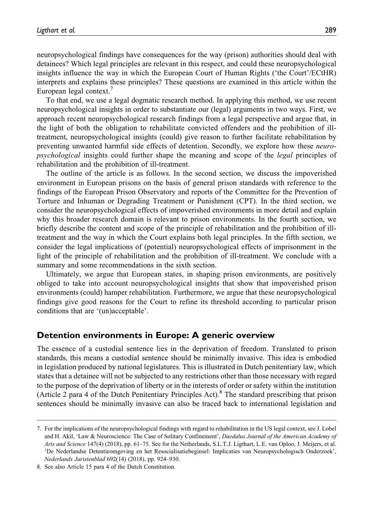neuropsychological findings have consequences for the way (prison) authorities should deal with detainees? Which legal principles are relevant in this respect, and could these neuropsychological insights influence the way in which the European Court of Human Rights ('the Court'/ECtHR) interprets and explains these principles? These questions are examined in this article within the European legal context.<sup>7</sup>

To that end, we use a legal dogmatic research method. In applying this method, we use recent neuropsychological insights in order to substantiate our (legal) arguments in two ways. First, we approach recent neuropsychological research findings from a legal perspective and argue that, in the light of both the obligation to rehabilitate convicted offenders and the prohibition of illtreatment, neuropsychological insights (could) give reason to further facilitate rehabilitation by preventing unwanted harmful side effects of detention. Secondly, we explore how these neuropsychological insights could further shape the meaning and scope of the legal principles of rehabilitation and the prohibition of ill-treatment.

The outline of the article is as follows. In the second section, we discuss the impoverished environment in European prisons on the basis of general prison standards with reference to the findings of the European Prison Observatory and reports of the Committee for the Prevention of Torture and Inhuman or Degrading Treatment or Punishment (CPT). In the third section, we consider the neuropsychological effects of impoverished environments in more detail and explain why this broader research domain is relevant to prison environments. In the fourth section, we briefly describe the content and scope of the principle of rehabilitation and the prohibition of illtreatment and the way in which the Court explains both legal principles. In the fifth section, we consider the legal implications of (potential) neuropsychological effects of imprisonment in the light of the principle of rehabilitation and the prohibition of ill-treatment. We conclude with a summary and some recommendations in the sixth section.

Ultimately, we argue that European states, in shaping prison environments, are positively obliged to take into account neuropsychological insights that show that impoverished prison environments (could) hamper rehabilitation. Furthermore, we argue that these neuropsychological findings give good reasons for the Court to refine its threshold according to particular prison conditions that are '(un)acceptable'.

#### Detention environments in Europe: A generic overview

The essence of a custodial sentence lies in the deprivation of freedom. Translated to prison standards, this means a custodial sentence should be minimally invasive. This idea is embodied in legislation produced by national legislatures. This is illustrated in Dutch penitentiary law, which states that a detainee will not be subjected to any restrictions other than those necessary with regard to the purpose of the deprivation of liberty or in the interests of order or safety within the institution (Article 2 para 4 of the Dutch Penitentiary Principles Act).<sup>8</sup> The standard prescribing that prison sentences should be minimally invasive can also be traced back to international legislation and

<sup>7.</sup> For the implications of the neuropsychological findings with regard to rehabilitation in the US legal context, see J. Lobel and H. Akil, 'Law & Neuroscience: The Case of Solitary Confinement', Daedalus Journal of the American Academy of Arts and Science 147(4) (2018), pp. 61–75. See for the Netherlands, S.L.T.J. Ligthart, L.E. van Oploo, J. Meijers, et al. 'De Nederlandse Detentieomgeving en het Resocialisatiebeginsel: Implicaties van Neuropsychologisch Onderzoek', Nederlands Juristenblad 692(14) (2018), pp. 924–930.

<sup>8.</sup> See also Article 15 para 4 of the Dutch Constitution.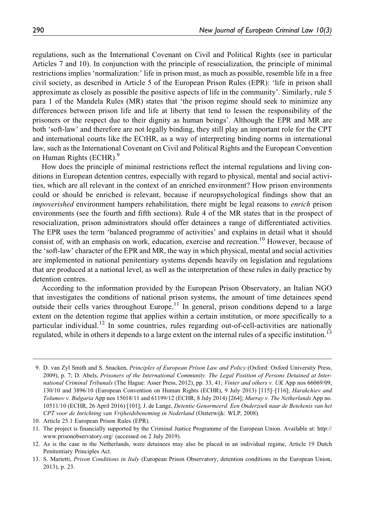regulations, such as the International Covenant on Civil and Political Rights (see in particular Articles 7 and 10). In conjunction with the principle of resocialization, the principle of minimal restrictions implies 'normalization:' life in prison must, as much as possible, resemble life in a free civil society, as described in Article 5 of the European Prison Rules (EPR): 'life in prison shall approximate as closely as possible the positive aspects of life in the community'. Similarly, rule 5 para 1 of the Mandela Rules (MR) states that 'the prison regime should seek to minimize any differences between prison life and life at liberty that tend to lessen the responsibility of the prisoners or the respect due to their dignity as human beings'. Although the EPR and MR are both 'soft-law' and therefore are not legally binding, they still play an important role for the CPT and international courts like the ECtHR, as a way of interpreting binding norms in international law, such as the International Covenant on Civil and Political Rights and the European Convention on Human Rights (ECHR).<sup>9</sup>

How does the principle of minimal restrictions reflect the internal regulations and living conditions in European detention centres, especially with regard to physical, mental and social activities, which are all relevant in the context of an enriched environment? How prison environments could or should be enriched is relevant, because if neuropsychological findings show that an impoverished environment hampers rehabilitation, there might be legal reasons to *enrich* prison environments (see the fourth and fifth sections). Rule 4 of the MR states that in the prospect of resocialization, prison administrators should offer detainees a range of differentiated activities. The EPR uses the term 'balanced programme of activities' and explains in detail what it should consist of, with an emphasis on work, education, exercise and recreation.10 However, because of the 'soft-law' character of the EPR and MR, the way in which physical, mental and social activities are implemented in national penitentiary systems depends heavily on legislation and regulations that are produced at a national level, as well as the interpretation of these rules in daily practice by detention centres.

According to the information provided by the European Prison Observatory, an Italian NGO that investigates the conditions of national prison systems, the amount of time detainees spend outside their cells varies throughout Europe.<sup>11</sup> In general, prison conditions depend to a large extent on the detention regime that applies within a certain institution, or more specifically to a particular individual.<sup>12</sup> In some countries, rules regarding out-of-cell-activities are nationally regulated, while in others it depends to a large extent on the internal rules of a specific institution.<sup>13</sup>

<sup>9.</sup> D. van Zyl Smith and S. Snacken, Principles of European Prison Law and Policy (Oxford: Oxford University Press, 2009), p. 7; D. Abels, Prisoners of the International Community. The Legal Position of Persons Detained at International Criminal Tribunals (The Hague: Asser Press, 2012), pp. 33, 41; Vinter and others v. UK App nos 66069/09, 130/10 and 3896/10 (European Convention on Human Rights (ECHR), 9 July 2013) [115]–[116]; Harakchiev and Tolumov v. Bulgaria App nos 15018/11 and 61199/12 (ECHR, 8 July 2014) [264]; Murray v. The Netherlands App no. 10511/10 (ECHR, 26 April 2016) [101]; J. de Lange, Detentie Genormeerd. Een Onderzoek naar de Betekenis van het CPT voor de Inrichting van Vrijheidsbeneming in Nederland (Oisterwijk: WLP, 2008).

<sup>10.</sup> Article 25.1 European Prison Rules (EPR).

<sup>11.</sup> The project is financially supported by the Criminal Justice Programme of the European Union. Available at: [http://](http://www.prisonobservatory.org) [www.prisonobservatory.org/](http://www.prisonobservatory.org) (accessed on 2 July 2019).

<sup>12.</sup> As is the case in the Netherlands, were detainees may also be placed in an individual regime, Article 19 Dutch Penitentiary Principles Act.

<sup>13.</sup> S. Marietti, Prison Conditions in Italy (European Prison Observatory, detention conditions in the European Union, 2013), p. 23.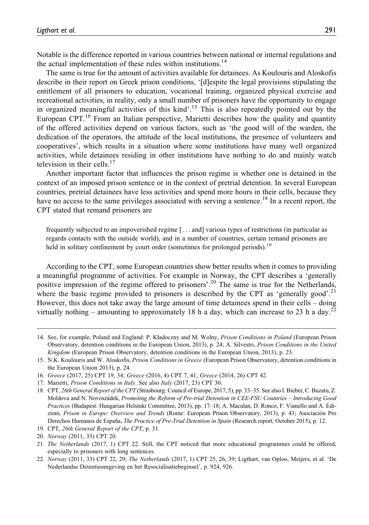Notable is the difference reported in various countries between national or internal regulations and the actual implementation of these rules within institutions.<sup>14</sup>

The same is true for the amount of activities available for detainees. As Koulouris and Aloskofis describe in their report on Greek prison conditions, '[d]espite the legal provisions stipulating the entitlement of all prisoners to education, vocational training, organized physical exercise and recreational activities, in reality, only a small number of prisoners have the opportunity to engage in organized meaningful activities of this kind'.<sup>15</sup> This is also repeatedly pointed out by the European CPT.<sup>16</sup> From an Italian perspective, Marietti describes how the quality and quantity of the offered activities depend on various factors, such as 'the good will of the warden, the dedication of the operators, the attitude of the local institutions, the presence of volunteers and cooperatives', which results in a situation where some institutions have many well organized activities, while detainees residing in other institutions have nothing to do and mainly watch television in their cells. $17$ 

Another important factor that influences the prison regime is whether one is detained in the context of an imposed prison sentence or in the context of pretrial detention. In several European countries, pretrial detainees have less activities and spend more hours in their cells, because they have no access to the same privileges associated with serving a sentence.<sup>18</sup> In a recent report, the CPT stated that remand prisoners are

frequently subjected to an impoverished regime [ ... and] various types of restrictions (in particular as regards contacts with the outside world), and in a number of countries, certain remand prisoners are held in solitary confinement by court order (sometimes for prolonged periods).<sup>19</sup>

According to the CPT, some European countries show better results when it comes to providing a meaningful programme of activities. For example in Norway, the CPT describes a 'generally positive impression of the regime offered to prisoners'.<sup>20</sup> The same is true for the Netherlands, where the basic regime provided to prisoners is described by the CPT as 'generally good'.<sup>21</sup> However, this does not take away the large amount of time detainees spend in their cells – doing virtually nothing – amounting to approximately 18 h a day, which can increase to 23 h a day.<sup>22</sup>

<sup>14.</sup> See, for example, Poland and England: P. Kładoczny and M. Wolny, Prison Conditions in Poland (European Prison Observatory, detention conditions in the European Union, 2013), p. 24; A. Silvestri, Prison Conditions in the United Kingdom (European Prison Observatory, detention conditions in the European Union, 2013), p. 23.

<sup>15.</sup> N.K. Koulouris and W. Aloskofis, *Prison Conditions in Greece* (European Prison Observatory, detention conditions in the European Union 2013), p. 24.

<sup>16.</sup> Greece (2017, 25) CPT 19, 34; Greece (2016, 4) CPT 7, 41; Greece (2014, 26) CPT 42.

<sup>17.</sup> Marietti, Prison Conditions in Italy. See also Italy (2017, 23) CPT 30.

<sup>18.</sup> CPT, 26th General Report of the CPT (Strasbourg: Council of Europe, 2017, 5), pp. 33–35. See also I. Bieber, C. Buzatu, Z. Moldova and N. Novoszádek, Promoting the Reform of Pre-trial Detention in CEE-FSU Countries – Introducing Good Practices (Budapest: Hungarian Helsinki Committee, 2013), pp. 17–18; A. Maculan, D. Ronco, F. Vianello and A. Edizioni, Prison in Europe: Overview and Trends (Rome: European Prison Observatory, 2013), p. 43; Asociación Pro Derechos Humanos de España, The Practice of Pre-Trial Detention in Spain (Research report, October 2015), p. 12.

<sup>19.</sup> CPT, 26th General Report of the CPT, p. 31.

<sup>20.</sup> Norway (2011, 33) CPT 20.

<sup>21.</sup> The Netherlands (2017, 1) CPT 22. Still, the CPT noticed that more educational programmes could be offered, especially to prisoners with long sentences.

<sup>22.</sup> Norway (2011, 33) CPT 22, 29; The Netherlands (2017, 1) CPT 25, 26, 39; Ligthart, van Oploo, Meijers, et al. 'De Nederlandse Detentieomgeving en het Resocialisatiebeginsel', p. 924, 926.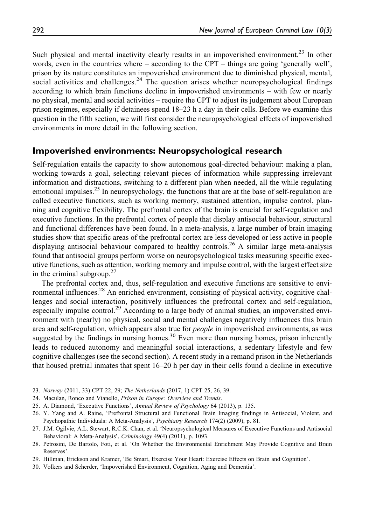Such physical and mental inactivity clearly results in an impoverished environment.<sup>23</sup> In other words, even in the countries where – according to the CPT – things are going 'generally well'. prison by its nature constitutes an impoverished environment due to diminished physical, mental, social activities and challenges.<sup>24</sup> The question arises whether neuropsychological findings according to which brain functions decline in impoverished environments – with few or nearly no physical, mental and social activities – require the CPT to adjust its judgement about European prison regimes, especially if detainees spend 18–23 h a day in their cells. Before we examine this question in the fifth section, we will first consider the neuropsychological effects of impoverished environments in more detail in the following section.

## Impoverished environments: Neuropsychological research

Self-regulation entails the capacity to show autonomous goal-directed behaviour: making a plan, working towards a goal, selecting relevant pieces of information while suppressing irrelevant information and distractions, switching to a different plan when needed, all the while regulating emotional impulses.<sup>25</sup> In neuropsychology, the functions that are at the base of self-regulation are called executive functions, such as working memory, sustained attention, impulse control, planning and cognitive flexibility. The prefrontal cortex of the brain is crucial for self-regulation and executive functions. In the prefrontal cortex of people that display antisocial behaviour, structural and functional differences have been found. In a meta-analysis, a large number of brain imaging studies show that specific areas of the prefrontal cortex are less developed or less active in people displaying antisocial behaviour compared to healthy controls.<sup>26</sup> A similar large meta-analysis found that antisocial groups perform worse on neuropsychological tasks measuring specific executive functions, such as attention, working memory and impulse control, with the largest effect size in the criminal subgroup.27

The prefrontal cortex and, thus, self-regulation and executive functions are sensitive to environmental influences.<sup>28</sup> An enriched environment, consisting of physical activity, cognitive challenges and social interaction, positively influences the prefrontal cortex and self-regulation, especially impulse control.<sup>29</sup> According to a large body of animal studies, an impoverished environment with (nearly) no physical, social and mental challenges negatively influences this brain area and self-regulation, which appears also true for *people* in impoverished environments, as was suggested by the findings in nursing homes.<sup>30</sup> Even more than nursing homes, prison inherently leads to reduced autonomy and meaningful social interactions, a sedentary lifestyle and few cognitive challenges (see the second section). A recent study in a remand prison in the Netherlands that housed pretrial inmates that spent 16–20 h per day in their cells found a decline in executive

28. Petrosini, De Bartolo, Foti, et al. 'On Whether the Environmental Enrichment May Provide Cognitive and Brain Reserves'.

<sup>23.</sup> Norway (2011, 33) CPT 22, 29; The Netherlands (2017, 1) CPT 25, 26, 39.

<sup>24.</sup> Maculan, Ronco and Vianello, Prison in Europe: Overview and Trends.

<sup>25.</sup> A. Diamond, 'Executive Functions', Annual Review of Psychology 64 (2013), p. 135.

<sup>26.</sup> Y. Yang and A. Raine, 'Prefrontal Structural and Functional Brain Imaging findings in Antisocial, Violent, and Psychopathic Individuals: A Meta-Analysis', Psychiatry Research 174(2) (2009), p. 81.

<sup>27.</sup> J.M. Ogilvie, A.L. Stewart, R.C.K. Chan, et al. 'Neuropsychological Measures of Executive Functions and Antisocial Behavioral: A Meta-Analysis', Criminology 49(4) (2011), p. 1093.

<sup>29.</sup> Hillman, Erickson and Kramer, 'Be Smart, Exercise Your Heart: Exercise Effects on Brain and Cognition'.

<sup>30.</sup> Volkers and Scherder, 'Impoverished Environment, Cognition, Aging and Dementia'.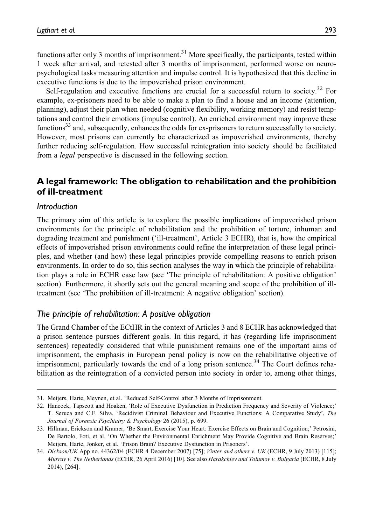functions after only 3 months of imprisonment.<sup>31</sup> More specifically, the participants, tested within 1 week after arrival, and retested after 3 months of imprisonment, performed worse on neuro-

executive functions is due to the impoverished prison environment. Self-regulation and executive functions are crucial for a successful return to society.<sup>32</sup> For example, ex-prisoners need to be able to make a plan to find a house and an income (attention, planning), adjust their plan when needed (cognitive flexibility, working memory) and resist temptations and control their emotions (impulse control). An enriched environment may improve these functions $33$  and, subsequently, enhances the odds for ex-prisoners to return successfully to society. However, most prisons can currently be characterized as impoverished environments, thereby further reducing self-regulation. How successful reintegration into society should be facilitated from a legal perspective is discussed in the following section.

psychological tasks measuring attention and impulse control. It is hypothesized that this decline in

# A legal framework: The obligation to rehabilitation and the prohibition of ill-treatment

### Introduction

The primary aim of this article is to explore the possible implications of impoverished prison environments for the principle of rehabilitation and the prohibition of torture, inhuman and degrading treatment and punishment ('ill-treatment', Article 3 ECHR), that is, how the empirical effects of impoverished prison environments could refine the interpretation of these legal principles, and whether (and how) these legal principles provide compelling reasons to enrich prison environments. In order to do so, this section analyses the way in which the principle of rehabilitation plays a role in ECHR case law (see 'The principle of rehabilitation: A positive obligation' section). Furthermore, it shortly sets out the general meaning and scope of the prohibition of illtreatment (see 'The prohibition of ill-treatment: A negative obligation' section).

### The principle of rehabilitation: A positive obligation

The Grand Chamber of the ECtHR in the context of Articles 3 and 8 ECHR has acknowledged that a prison sentence pursues different goals. In this regard, it has (regarding life imprisonment sentences) repeatedly considered that while punishment remains one of the important aims of imprisonment, the emphasis in European penal policy is now on the rehabilitative objective of imprisonment, particularly towards the end of a long prison sentence.<sup>34</sup> The Court defines rehabilitation as the reintegration of a convicted person into society in order to, among other things,

<sup>31.</sup> Meijers, Harte, Meynen, et al. 'Reduced Self-Control after 3 Months of Imprisonment.

<sup>32.</sup> Hancock, Tapscott and Hoaken, 'Role of Executive Dysfunction in Prediction Frequency and Severity of Violence;' T. Seruca and C.F. Silva, 'Recidivist Criminal Behaviour and Executive Functions: A Comparative Study', The Journal of Forensic Psychiatry & Psychology 26 (2015), p. 699.

<sup>33.</sup> Hillman, Erickson and Kramer, 'Be Smart, Exercise Your Heart: Exercise Effects on Brain and Cognition;' Petrosini, De Bartolo, Foti, et al. 'On Whether the Environmental Enrichment May Provide Cognitive and Brain Reserves;' Meijers, Harte, Jonker, et al. 'Prison Brain? Executive Dysfunction in Prisoners'.

<sup>34.</sup> Dickson/UK App no. 44362/04 (ECHR 4 December 2007) [75]; Vinter and others v. UK (ECHR, 9 July 2013) [115]; Murray v. The Netherlands (ECHR, 26 April 2016) [10]. See also Harakchiev and Tolumov v. Bulgaria (ECHR, 8 July 2014), [264].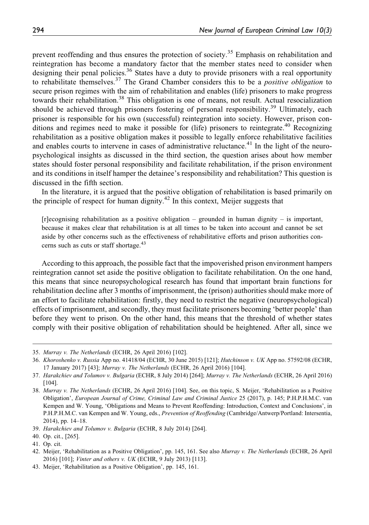prevent reoffending and thus ensures the protection of society.<sup>35</sup> Emphasis on rehabilitation and reintegration has become a mandatory factor that the member states need to consider when designing their penal policies.<sup>36</sup> States have a duty to provide prisoners with a real opportunity to rehabilitate themselves.<sup>37</sup> The Grand Chamber considers this to be a *positive obligation* to secure prison regimes with the aim of rehabilitation and enables (life) prisoners to make progress towards their rehabilitation.<sup>38</sup> This obligation is one of means, not result. Actual resocialization should be achieved through prisoners fostering of personal responsibility.<sup>39</sup> Ultimately, each prisoner is responsible for his own (successful) reintegration into society. However, prison conditions and regimes need to make it possible for (life) prisoners to reintegrate.<sup>40</sup> Recognizing rehabilitation as a positive obligation makes it possible to legally enforce rehabilitative facilities and enables courts to intervene in cases of administrative reluctance.<sup>41</sup> In the light of the neuropsychological insights as discussed in the third section, the question arises about how member states should foster personal responsibility and facilitate rehabilitation, if the prison environment and its conditions in itself hamper the detainee's responsibility and rehabilitation? This question is discussed in the fifth section.

In the literature, it is argued that the positive obligation of rehabilitation is based primarily on the principle of respect for human dignity. $42$  In this context, Meijer suggests that

 $[r]$ ecognising rehabilitation as a positive obligation – grounded in human dignity – is important, because it makes clear that rehabilitation is at all times to be taken into account and cannot be set aside by other concerns such as the effectiveness of rehabilitative efforts and prison authorities concerns such as cuts or staff shortage.<sup>43</sup>

According to this approach, the possible fact that the impoverished prison environment hampers reintegration cannot set aside the positive obligation to facilitate rehabilitation. On the one hand, this means that since neuropsychological research has found that important brain functions for rehabilitation decline after 3 months of imprisonment, the (prison) authorities should make more of an effort to facilitate rehabilitation: firstly, they need to restrict the negative (neuropsychological) effects of imprisonment, and secondly, they must facilitate prisoners becoming 'better people' than before they went to prison. On the other hand, this means that the threshold of whether states comply with their positive obligation of rehabilitation should be heightened. After all, since we

43. Meijer, 'Rehabilitation as a Positive Obligation', pp. 145, 161.

<sup>35.</sup> Murray v. The Netherlands (ECHR, 26 April 2016) [102].

<sup>36.</sup> Khoroshenko v. Russia App no. 41418/04 (ECHR, 30 June 2015) [121]; Hutchinson v. UK App no. 57592/08 (ECHR, 17 January 2017) [43]; Murray v. The Netherlands (ECHR, 26 April 2016) [104].

<sup>37.</sup> Harakchiev and Tolumov v. Bulgaria (ECHR, 8 July 2014) [264]; Murray v. The Netherlands (ECHR, 26 April 2016) [104].

<sup>38.</sup> Murray v. The Netherlands (ECHR, 26 April 2016) [104]. See, on this topic, S. Meijer, 'Rehabilitation as a Positive Obligation', European Journal of Crime, Criminal Law and Criminal Justice 25 (2017), p. 145; P.H.P.H.M.C. van Kempen and W. Young, 'Obligations and Means to Prevent Reoffending: Introduction, Context and Conclusions', in P.H.P.H.M.C. van Kempen and W. Young, eds., *Prevention of Reoffending* (Cambridge/Antwerp/Portland: Intersentia, 2014), pp. 14–18.

<sup>39.</sup> Harakchiev and Tolumov v. Bulgaria (ECHR, 8 July 2014) [264].

<sup>40.</sup> Op. cit., [265].

<sup>41.</sup> Op. cit.

<sup>42.</sup> Meijer, 'Rehabilitation as a Positive Obligation', pp. 145, 161. See also Murray v. The Netherlands (ECHR, 26 April 2016) [101]; Vinter and others v. UK (ECHR, 9 July 2013) [113].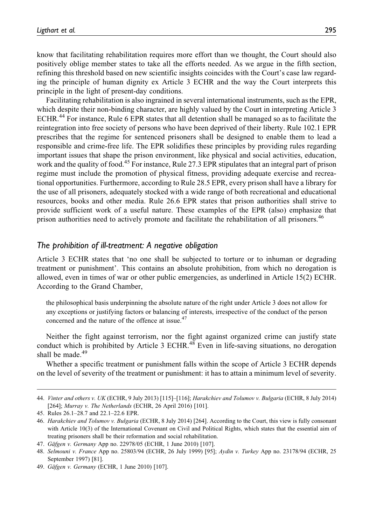know that facilitating rehabilitation requires more effort than we thought, the Court should also positively oblige member states to take all the efforts needed. As we argue in the fifth section, refining this threshold based on new scientific insights coincides with the Court's case law regarding the principle of human dignity ex Article 3 ECHR and the way the Court interprets this principle in the light of present-day conditions.

Facilitating rehabilitation is also ingrained in several international instruments, such as the EPR, which despite their non-binding character, are highly valued by the Court in interpreting Article 3 ECHR.<sup>44</sup> For instance, Rule 6 EPR states that all detention shall be managed so as to facilitate the reintegration into free society of persons who have been deprived of their liberty. Rule 102.1 EPR prescribes that the regime for sentenced prisoners shall be designed to enable them to lead a responsible and crime-free life. The EPR solidifies these principles by providing rules regarding important issues that shape the prison environment, like physical and social activities, education, work and the quality of food.<sup>45</sup> For instance, Rule 27.3 EPR stipulates that an integral part of prison regime must include the promotion of physical fitness, providing adequate exercise and recreational opportunities. Furthermore, according to Rule 28.5 EPR, every prison shall have a library for the use of all prisoners, adequately stocked with a wide range of both recreational and educational resources, books and other media. Rule 26.6 EPR states that prison authorities shall strive to provide sufficient work of a useful nature. These examples of the EPR (also) emphasize that prison authorities need to actively promote and facilitate the rehabilitation of all prisoners.<sup>46</sup>

### The prohibition of ill-treatment: A negative obligation

Article 3 ECHR states that 'no one shall be subjected to torture or to inhuman or degrading treatment or punishment'. This contains an absolute prohibition, from which no derogation is allowed, even in times of war or other public emergencies, as underlined in Article 15(2) ECHR. According to the Grand Chamber,

the philosophical basis underpinning the absolute nature of the right under Article 3 does not allow for any exceptions or justifying factors or balancing of interests, irrespective of the conduct of the person concerned and the nature of the offence at issue.<sup>47</sup>

Neither the fight against terrorism, nor the fight against organized crime can justify state conduct which is prohibited by Article 3 ECHR.<sup>48</sup> Even in life-saving situations, no derogation shall be made.<sup>49</sup>

Whether a specific treatment or punishment falls within the scope of Article 3 ECHR depends on the level of severity of the treatment or punishment: it has to attain a minimum level of severity.

<sup>44.</sup> Vinter and others v. UK (ECHR, 9 July 2013) [115]–[116]; Harakchiev and Tolumov v. Bulgaria (ECHR, 8 July 2014) [264]; Murray v. The Netherlands (ECHR, 26 April 2016) [101].

<sup>45.</sup> Rules 26.1–28.7 and 22.1–22.6 EPR.

<sup>46.</sup> Harakchiev and Tolumov v. Bulgaria (ECHR, 8 July 2014) [264]. According to the Court, this view is fully consonant with Article 10(3) of the International Covenant on Civil and Political Rights, which states that the essential aim of treating prisoners shall be their reformation and social rehabilitation.

<sup>47.</sup> Gäfgen v. Germany App no. 22978/05 (ECHR, 1 June 2010) [107].

<sup>48.</sup> Selmouni v. France App no. 25803/94 (ECHR, 26 July 1999) [95]; Aydin v. Turkey App no. 23178/94 (ECHR, 25 September 1997) [81].

<sup>49.</sup> Gäfgen v. Germany (ECHR, 1 June 2010) [107].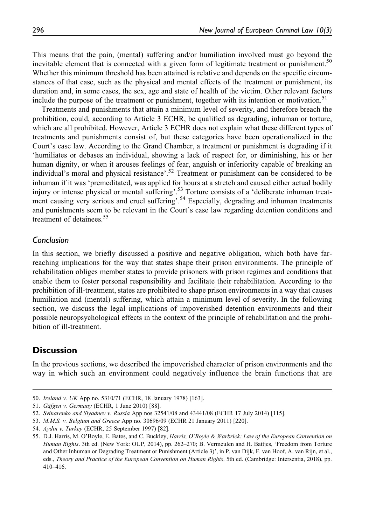This means that the pain, (mental) suffering and/or humiliation involved must go beyond the inevitable element that is connected with a given form of legitimate treatment or punishment.<sup>50</sup> Whether this minimum threshold has been attained is relative and depends on the specific circumstances of that case, such as the physical and mental effects of the treatment or punishment, its duration and, in some cases, the sex, age and state of health of the victim. Other relevant factors include the purpose of the treatment or punishment, together with its intention or motivation.<sup>51</sup>

Treatments and punishments that attain a minimum level of severity, and therefore breach the prohibition, could, according to Article 3 ECHR, be qualified as degrading, inhuman or torture, which are all prohibited. However, Article 3 ECHR does not explain what these different types of treatments and punishments consist of, but these categories have been operationalized in the Court's case law. According to the Grand Chamber, a treatment or punishment is degrading if it 'humiliates or debases an individual, showing a lack of respect for, or diminishing, his or her human dignity, or when it arouses feelings of fear, anguish or inferiority capable of breaking an individual's moral and physical resistance'.<sup>52</sup> Treatment or punishment can be considered to be inhuman if it was 'premeditated, was applied for hours at a stretch and caused either actual bodily injury or intense physical or mental suffering'.<sup>53</sup> Torture consists of a 'deliberate inhuman treatment causing very serious and cruel suffering'.<sup>54</sup> Especially, degrading and inhuman treatments and punishments seem to be relevant in the Court's case law regarding detention conditions and treatment of detainees.<sup>55</sup>

#### Conclusion

In this section, we briefly discussed a positive and negative obligation, which both have farreaching implications for the way that states shape their prison environments. The principle of rehabilitation obliges member states to provide prisoners with prison regimes and conditions that enable them to foster personal responsibility and facilitate their rehabilitation. According to the prohibition of ill-treatment, states are prohibited to shape prison environments in a way that causes humiliation and (mental) suffering, which attain a minimum level of severity. In the following section, we discuss the legal implications of impoverished detention environments and their possible neuropsychological effects in the context of the principle of rehabilitation and the prohibition of ill-treatment.

## **Discussion**

In the previous sections, we described the impoverished character of prison environments and the way in which such an environment could negatively influence the brain functions that are

<sup>50.</sup> Ireland v. UK App no. 5310/71 (ECHR, 18 January 1978) [163].

<sup>51.</sup> Gäfgen v. Germany (ECHR, 1 June 2010) [88].

<sup>52.</sup> Svinarenko and Slyadnev v. Russia App nos 32541/08 and 43441/08 (ECHR 17 July 2014) [115].

<sup>53.</sup> M.M.S. v. Belgium and Greece App no. 30696/09 (ECHR 21 January 2011) [220].

<sup>54.</sup> Aydin v. Turkey (ECHR, 25 September 1997) [82].

<sup>55.</sup> D.J. Harris, M. O'Boyle, E. Bates, and C. Buckley, Harris, O'Boyle & Warbrick: Law of the European Convention on Human Rights. 3th ed. (New York: OUP, 2014), pp. 262–270; B. Vermeulen and H. Battjes, 'Freedom from Torture and Other Inhuman or Degrading Treatment or Punishment (Article 3)', in P. van Dijk, F. van Hoof, A. van Rijn, et al., eds., Theory and Practice of the European Convention on Human Rights. 5th ed. (Cambridge: Intersentia, 2018), pp. 410–416.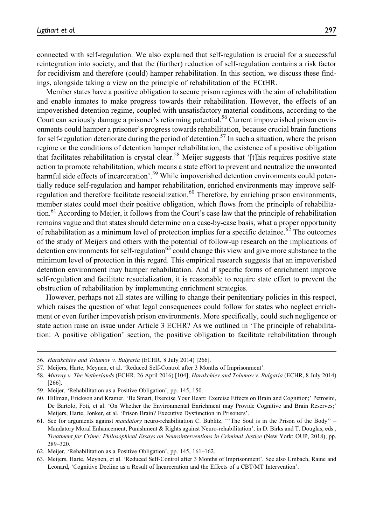connected with self-regulation. We also explained that self-regulation is crucial for a successful reintegration into society, and that the (further) reduction of self-regulation contains a risk factor for recidivism and therefore (could) hamper rehabilitation. In this section, we discuss these findings, alongside taking a view on the principle of rehabilitation of the ECtHR.

Member states have a positive obligation to secure prison regimes with the aim of rehabilitation and enable inmates to make progress towards their rehabilitation. However, the effects of an impoverished detention regime, coupled with unsatisfactory material conditions, according to the Court can seriously damage a prisoner's reforming potential.<sup>56</sup> Current impoverished prison environments could hamper a prisoner's progress towards rehabilitation, because crucial brain functions for self-regulation deteriorate during the period of detention.<sup>57</sup> In such a situation, where the prison regime or the conditions of detention hamper rehabilitation, the existence of a positive obligation that facilitates rehabilitation is crystal clear.<sup>58</sup> Meijer suggests that '[t]his requires positive state action to promote rehabilitation, which means a state effort to prevent and neutralize the unwanted harmful side effects of incarceration'.<sup>59</sup> While impoverished detention environments could potentially reduce self-regulation and hamper rehabilitation, enriched environments may improve selfregulation and therefore facilitate resocialization.<sup>60</sup> Therefore, by enriching prison environments, member states could meet their positive obligation, which flows from the principle of rehabilitation.<sup>61</sup> According to Meijer, it follows from the Court's case law that the principle of rehabilitation remains vague and that states should determine on a case-by-case basis, what a proper opportunity of rehabilitation as a minimum level of protection implies for a specific detainee.<sup>62</sup> The outcomes of the study of Meijers and others with the potential of follow-up research on the implications of detention environments for self-regulation<sup>63</sup> could change this view and give more substance to the minimum level of protection in this regard. This empirical research suggests that an impoverished detention environment may hamper rehabilitation. And if specific forms of enrichment improve self-regulation and facilitate resocialization, it is reasonable to require state effort to prevent the obstruction of rehabilitation by implementing enrichment strategies.

However, perhaps not all states are willing to change their penitentiary policies in this respect, which raises the question of what legal consequences could follow for states who neglect enrichment or even further impoverish prison environments. More specifically, could such negligence or state action raise an issue under Article 3 ECHR? As we outlined in 'The principle of rehabilitation: A positive obligation' section, the positive obligation to facilitate rehabilitation through

<sup>56.</sup> Harakchiev and Tolumov v. Bulgaria (ECHR, 8 July 2014) [266].

<sup>57.</sup> Meijers, Harte, Meynen, et al. 'Reduced Self-Control after 3 Months of Imprisonment'.

<sup>58.</sup> Murray v. The Netherlands (ECHR, 26 April 2016) [104]; Harakchiev and Tolumov v. Bulgaria (ECHR, 8 July 2014) [266].

<sup>59.</sup> Meijer, 'Rehabilitation as a Positive Obligation', pp. 145, 150.

<sup>60.</sup> Hillman, Erickson and Kramer, 'Be Smart, Exercise Your Heart: Exercise Effects on Brain and Cognition;' Petrosini, De Bartolo, Foti, et al. 'On Whether the Environmental Enrichment may Provide Cognitive and Brain Reserves;' Meijers, Harte, Jonker, et al. 'Prison Brain? Executive Dysfunction in Prisoners'.

<sup>61.</sup> See for arguments against mandatory neuro-rehabilitation C. Bublitz, '''The Soul is in the Prison of the Body'' – Mandatory Moral Enhancement, Punishment & Rights against Neuro-rehabilitation', in D. Birks and T. Douglas, eds., Treatment for Crime: Philosophical Essays on Neurointerventions in Criminal Justice (New York: OUP, 2018), pp. 289–320.

<sup>62.</sup> Meijer, 'Rehabilitation as a Positive Obligation', pp. 145, 161–162.

<sup>63.</sup> Meijers, Harte, Meynen, et al. 'Reduced Self-Control after 3 Months of Imprisonment'. See also Umbach, Raine and Leonard, 'Cognitive Decline as a Result of Incarceration and the Effects of a CBT/MT Intervention'.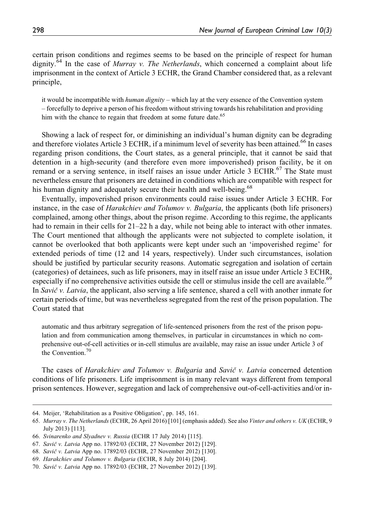certain prison conditions and regimes seems to be based on the principle of respect for human dignity.<sup>64</sup> In the case of *Murray v. The Netherlands*, which concerned a complaint about life imprisonment in the context of Article 3 ECHR, the Grand Chamber considered that, as a relevant principle,

it would be incompatible with *human dignity* – which lay at the very essence of the Convention system – forcefully to deprive a person of his freedom without striving towards his rehabilitation and providing him with the chance to regain that freedom at some future date.<sup>65</sup>

Showing a lack of respect for, or diminishing an individual's human dignity can be degrading and therefore violates Article 3 ECHR, if a minimum level of severity has been attained.<sup>66</sup> In cases regarding prison conditions, the Court states, as a general principle, that it cannot be said that detention in a high-security (and therefore even more impoverished) prison facility, be it on remand or a serving sentence, in itself raises an issue under Article 3 ECHR.<sup>67</sup> The State must nevertheless ensure that prisoners are detained in conditions which are compatible with respect for his human dignity and adequately secure their health and well-being.<sup>68</sup>

Eventually, impoverished prison environments could raise issues under Article 3 ECHR. For instance, in the case of *Harakchiev and Tolumov v. Bulgaria*, the applicants (both life prisoners) complained, among other things, about the prison regime. According to this regime, the applicants had to remain in their cells for 21–22 h a day, while not being able to interact with other inmates. The Court mentioned that although the applicants were not subjected to complete isolation, it cannot be overlooked that both applicants were kept under such an 'impoverished regime' for extended periods of time (12 and 14 years, respectively). Under such circumstances, isolation should be justified by particular security reasons. Automatic segregation and isolation of certain (categories) of detainees, such as life prisoners, may in itself raise an issue under Article 3 ECHR, especially if no comprehensive activities outside the cell or stimulus inside the cell are available.<sup>69</sup> In Savič v. Latvia, the applicant, also serving a life sentence, shared a cell with another inmate for certain periods of time, but was nevertheless segregated from the rest of the prison population. The Court stated that

automatic and thus arbitrary segregation of life-sentenced prisoners from the rest of the prison population and from communication among themselves, in particular in circumstances in which no comprehensive out-of-cell activities or in-cell stimulus are available, may raise an issue under Article 3 of the Convention.<sup>70</sup>

The cases of Harakchiev and Tolumov v. Bulgaria and Savič v. Latvia concerned detention conditions of life prisoners. Life imprisonment is in many relevant ways different from temporal prison sentences. However, segregation and lack of comprehensive out-of-cell-activities and/or in-

<sup>64.</sup> Meijer, 'Rehabilitation as a Positive Obligation', pp. 145, 161.

<sup>65.</sup> Murray v. The Netherlands (ECHR, 26 April 2016) [101] (emphasis added). See also Vinter and others v. UK (ECHR, 9 July 2013) [113].

<sup>66.</sup> Svinarenko and Slyadnev v. Russia (ECHR 17 July 2014) [115].

<sup>67.</sup> Savič v. Latvia App no. 17892/03 (ECHR, 27 November 2012) [129].

<sup>68.</sup> Savič v. Latvia App no. 17892/03 (ECHR, 27 November 2012) [130].

<sup>69.</sup> Harakchiev and Tolumov v. Bulgaria (ECHR, 8 July 2014) [204].

<sup>70.</sup> Savič v. Latvia App no. 17892/03 (ECHR, 27 November 2012) [139].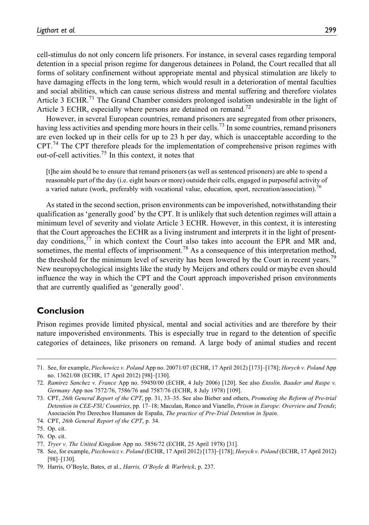cell-stimulus do not only concern life prisoners. For instance, in several cases regarding temporal detention in a special prison regime for dangerous detainees in Poland, the Court recalled that all forms of solitary confinement without appropriate mental and physical stimulation are likely to have damaging effects in the long term, which would result in a deterioration of mental faculties and social abilities, which can cause serious distress and mental suffering and therefore violates Article 3 ECHR.<sup>71</sup> The Grand Chamber considers prolonged isolation undesirable in the light of Article 3 ECHR, especially where persons are detained on remand.<sup>72</sup>

However, in several European countries, remand prisoners are segregated from other prisoners, having less activities and spending more hours in their cells.<sup>73</sup> In some countries, remand prisoners are even locked up in their cells for up to 23 h per day, which is unacceptable according to the  $CPT<sup>74</sup>$  The CPT therefore pleads for the implementation of comprehensive prison regimes with out-of-cell activities.<sup>75</sup> In this context, it notes that

[t]he aim should be to ensure that remand prisoners (as well as sentenced prisoners) are able to spend a reasonable part of the day (i.e. eight hours or more) outside their cells, engaged in purposeful activity of a varied nature (work, preferably with vocational value, education, sport, recreation/association).<sup>76</sup>

As stated in the second section, prison environments can be impoverished, notwithstanding their qualification as 'generally good' by the CPT. It is unlikely that such detention regimes will attain a minimum level of severity and violate Article 3 ECHR. However, in this context, it is interesting that the Court approaches the ECHR as a living instrument and interprets it in the light of presentday conditions,<sup>77</sup> in which context the Court also takes into account the EPR and MR and, sometimes, the mental effects of imprisonment.<sup>78</sup> As a consequence of this interpretation method, the threshold for the minimum level of severity has been lowered by the Court in recent years.<sup>79</sup> New neuropsychological insights like the study by Meijers and others could or maybe even should influence the way in which the CPT and the Court approach impoverished prison environments that are currently qualified as 'generally good'.

## Conclusion

Prison regimes provide limited physical, mental and social activities and are therefore by their nature impoverished environments. This is especially true in regard to the detention of specific categories of detainees, like prisoners on remand. A large body of animal studies and recent

74. CPT, 26th General Report of the CPT, p. 34.

<sup>71.</sup> See, for example, Piechowicz v. Poland App no. 20071/07 (ECHR, 17 April 2012) [173]–[178]; Horych v. Poland App no. 13621/08 (ECHR, 17 April 2012) [98]–[130].

<sup>72.</sup> Ramirez Sanchez v. France App no. 59450/00 (ECHR, 4 July 2006) [120]. See also Ensslin, Baader and Raspe v. Germany App nos 7572/76, 7586/76 and 7587/76 (ECHR, 8 July 1978) [109].

<sup>73.</sup> CPT, 26th General Report of the CPT, pp. 31, 33–35. See also Bieber and others, Promoting the Reform of Pre-trial Detention in CEE-FSU Countries, pp. 17–18; Maculan, Ronco and Vianello, Prison in Europe: Overview and Trends; Asociación Pro Derechos Humanos de España, The practice of Pre-Trial Detention in Spain.

<sup>75.</sup> Op. cit.

<sup>76.</sup> Op. cit.

<sup>77.</sup> Tryer v. The United Kingdom App no. 5856/72 (ECHR, 25 April 1978) [31].

<sup>78.</sup> See, for example, Piechowicz v. Poland (ECHR, 17 April 2012) [173]–[178]; Horych v. Poland (ECHR, 17 April 2012) [98]–[130].

<sup>79.</sup> Harris, O'Boyle, Bates, et al., Harris, O'Boyle & Warbrick, p. 237.